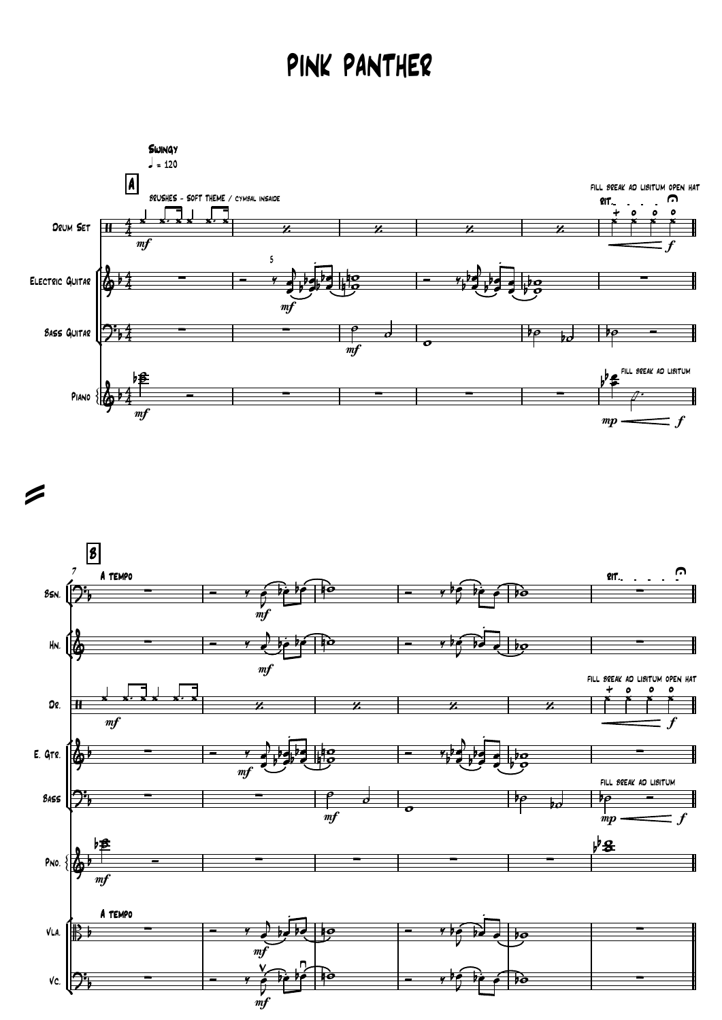## PINK PANTHER



 $\geq$ 

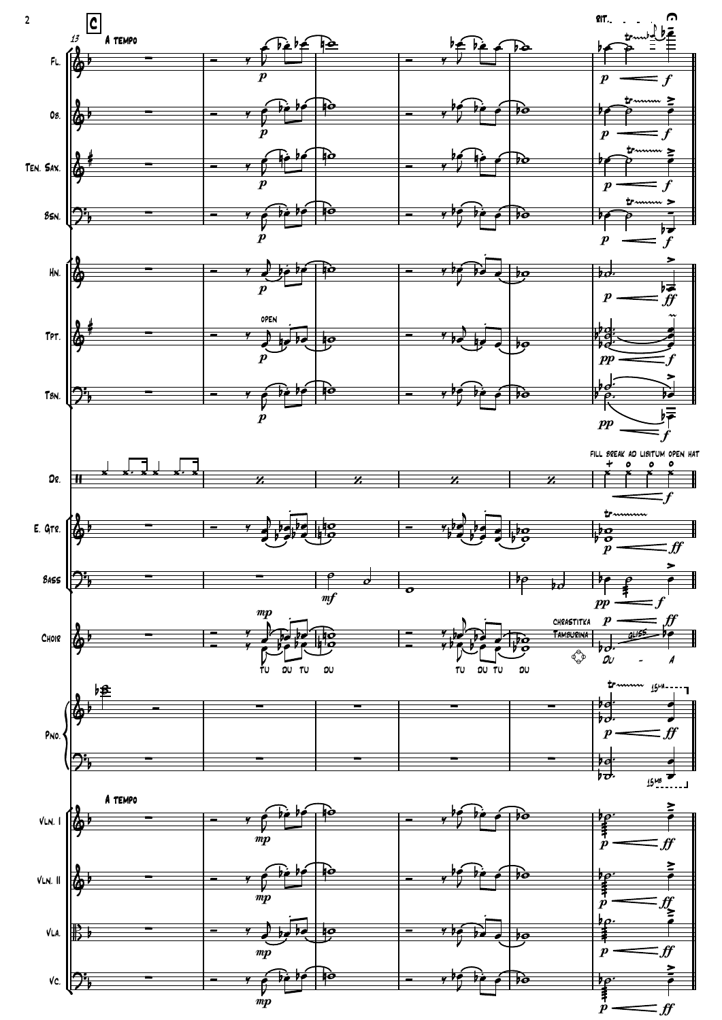